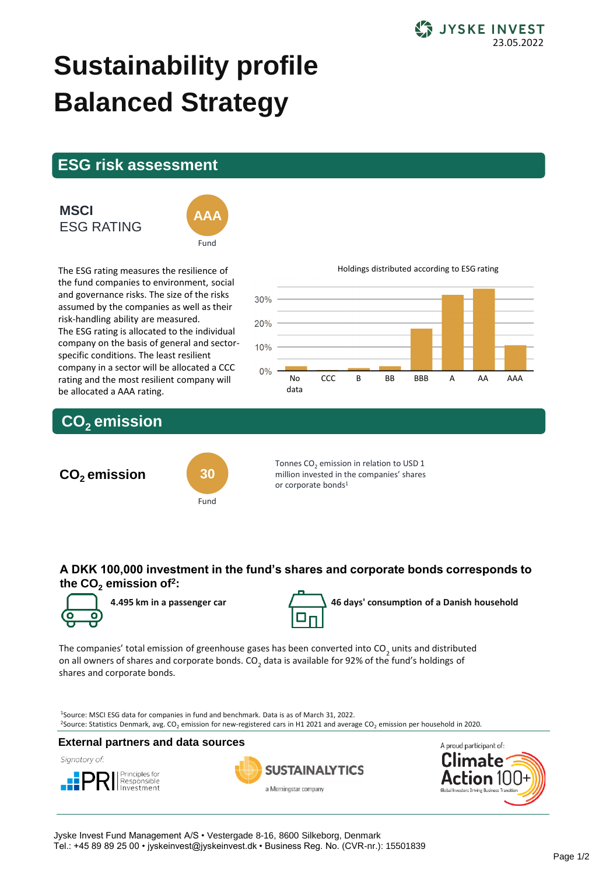

# **Sustainability profile Balanced Strategy**

## **ESG risk assessment**

## **MSCI** ESG RATING



The ESG rating measures the resilience of the fund companies to environment, social and governance risks. The size of the risks assumed by the companies as well as their risk-handling ability are measured. The ESG rating is allocated to the individual company on the basis of general and sectorspecific conditions. The least resilient company in a sector will be allocated a CCC rating and the most resilient company will be allocated a AAA rating.

#### Holdings distributed according to ESG rating



# **CO2 emission**



Tonnes CO<sub>2</sub> emission in relation to USD 1 million invested in the companies' shares or corporate bonds<sup>1</sup>

## **A DKK 100,000 investment in the fund's shares and corporate bonds corresponds to the CO<sup>2</sup> emission of<sup>2</sup> :**





**4.495 km in a passenger car 46 days' consumption of a Danish household**

The companies' total emission of greenhouse gases has been converted into CO<sub>2</sub> units and distributed on all owners of shares and corporate bonds. CO<sub>2</sub> data is available for 92% of the fund's holdings of shares and corporate bonds.

<sup>1</sup>Source: MSCI ESG data for companies in fund and benchmark. Data is as of March 31, 2022. <sup>2</sup>Source: Statistics Denmark, avg. CO<sub>2</sub> emission for new-registered cars in H1 2021 and average CO<sub>2</sub> emission per household in 2020.

## **External partners and data sources**

Signatory of:







Jyske Invest Fund Management A/S • Vestergade 8-16, 8600 Silkeborg, Denmark Tel.: +45 89 89 25 00 • jyskeinvest@jyskeinvest.dk • Business Reg. No. (CVR-nr.): 15501839